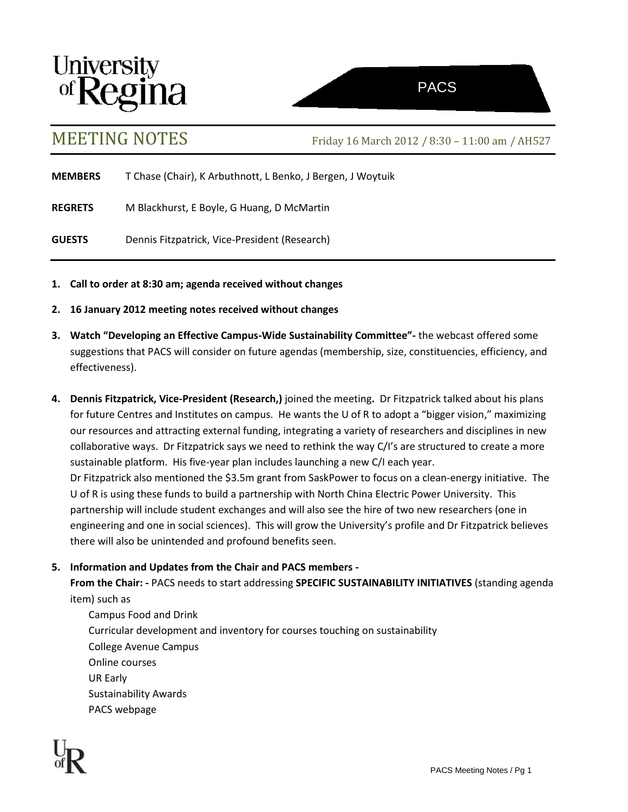



MEETING NOTES Friday <sup>16</sup> March 2012 / 8:30 – 11:00 am / AH527

**MEMBERS** T Chase (Chair), K Arbuthnott, L Benko, J Bergen, J Woytuik

**REGRETS** M Blackhurst, E Boyle, G Huang, D McMartin

**GUESTS** Dennis Fitzpatrick, Vice-President (Research)

- **1. Call to order at 8:30 am; agenda received without changes**
- **2. 16 January 2012 meeting notes received without changes**
- **3. Watch "Developing an Effective Campus-Wide Sustainability Committee"-** the webcast offered some suggestions that PACS will consider on future agendas (membership, size, constituencies, efficiency, and effectiveness).
- **4. Dennis Fitzpatrick, Vice-President (Research,)** joined the meeting**.** Dr Fitzpatrick talked about his plans for future Centres and Institutes on campus. He wants the U of R to adopt a "bigger vision," maximizing our resources and attracting external funding, integrating a variety of researchers and disciplines in new collaborative ways. Dr Fitzpatrick says we need to rethink the way C/I's are structured to create a more sustainable platform. His five-year plan includes launching a new C/I each year. Dr Fitzpatrick also mentioned the \$3.5m grant from SaskPower to focus on a clean-energy initiative. The U of R is using these funds to build a partnership with North China Electric Power University. This partnership will include student exchanges and will also see the hire of two new researchers (one in engineering and one in social sciences). This will grow the University's profile and Dr Fitzpatrick believes there will also be unintended and profound benefits seen.

## **5. Information and Updates from the Chair and PACS members -**

**From the Chair: -** PACS needs to start addressing **SPECIFIC SUSTAINABILITY INITIATIVES** (standing agenda item) such as

Campus Food and Drink Curricular development and inventory for courses touching on sustainability College Avenue Campus Online courses UR Early Sustainability Awards PACS webpage